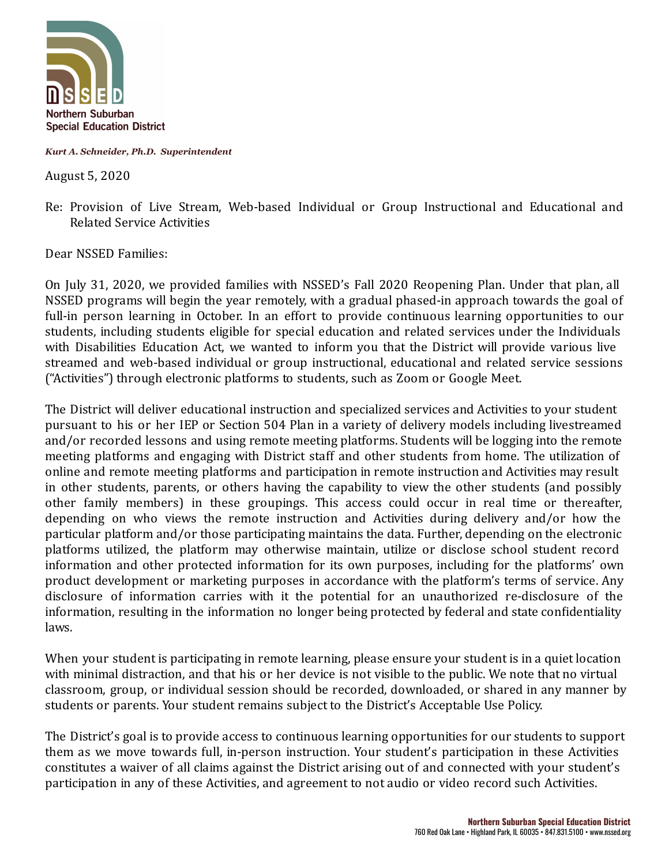

*Kurt A. Schneider, Ph.D. Superintendent*

August 5, 2020

Re: Provision of Live Stream, Web-based Individual or Group Instructional and Educational and Related Service Activities

Dear NSSED Families:

On July 31, 2020, we provided families with NSSED's Fall 2020 Reopening Plan. Under that plan, all NSSED programs will begin the year remotely, with a gradual phased-in approach towards the goal of full-in person learning in October. In an effort to provide continuous learning opportunities to our students, including students eligible for special education and related services under the Individuals with Disabilities Education Act, we wanted to inform you that the District will provide various live streamed and web-based individual or group instructional, educational and related service sessions ("Activities") through electronic platforms to students, such as Zoom or Google Meet.

The District will deliver educational instruction and specialized services and Activities to your student pursuant to his or her IEP or Section 504 Plan in a variety of delivery models including livestreamed and/or recorded lessons and using remote meeting platforms. Students will be logging into the remote meeting platforms and engaging with District staff and other students from home. The utilization of online and remote meeting platforms and participation in remote instruction and Activities may result in other students, parents, or others having the capability to view the other students (and possibly other family members) in these groupings. This access could occur in real time or thereafter, depending on who views the remote instruction and Activities during delivery and/or how the particular platform and/or those participating maintains the data. Further, depending on the electronic platforms utilized, the platform may otherwise maintain, utilize or disclose school student record information and other protected information for its own purposes, including for the platforms' own product development or marketing purposes in accordance with the platform's terms of service. Any disclosure of information carries with it the potential for an unauthorized re-disclosure of the information, resulting in the information no longer being protected by federal and state conidentiality laws.

When your student is participating in remote learning, please ensure your student is in a quiet location with minimal distraction, and that his or her device is not visible to the public. We note that no virtual classroom, group, or individual session should be recorded, downloaded, or shared in any manner by students or parents. Your student remains subject to the District's Acceptable Use Policy.

The District's goal is to provide access to continuous learning opportunities for our students to support them as we move towards full, in-person instruction. Your student's participation in these Activities constitutes a waiver of all claims against the District arising out of and connected with your student's participation in any of these Activities, and agreement to not audio or video record such Activities.